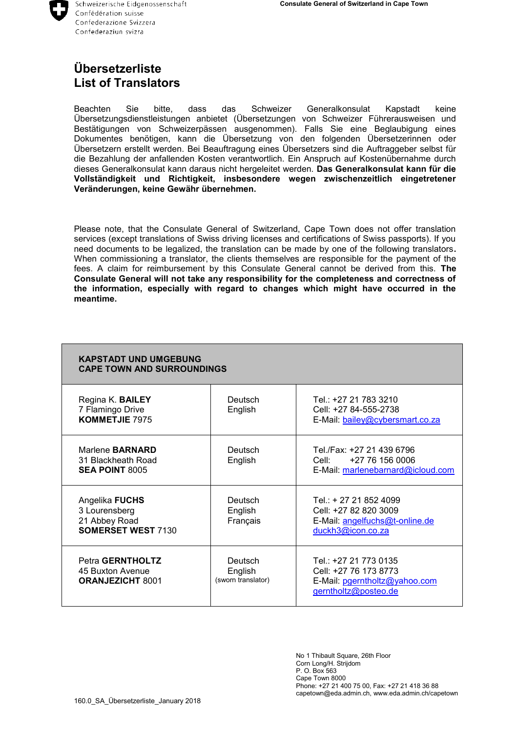## **Übersetzerliste List of Translators**

Beachten Sie bitte, dass das Schweizer Generalkonsulat Kapstadt keine Übersetzungsdienstleistungen anbietet (Übersetzungen von Schweizer Führerausweisen und Bestätigungen von Schweizerpässen ausgenommen). Falls Sie eine Beglaubigung eines Dokumentes benötigen, kann die Übersetzung von den folgenden Übersetzerinnen oder Übersetzern erstellt werden. Bei Beauftragung eines Übersetzers sind die Auftraggeber selbst für die Bezahlung der anfallenden Kosten verantwortlich. Ein Anspruch auf Kostenübernahme durch dieses Generalkonsulat kann daraus nicht hergeleitet werden. **Das Generalkonsulat kann für die Vollständigkeit und Richtigkeit, insbesondere wegen zwischenzeitlich eingetretener Veränderungen, keine Gewähr übernehmen.**

Please note, that the Consulate General of Switzerland, Cape Town does not offer translation services (except translations of Swiss driving licenses and certifications of Swiss passports). If you need documents to be legalized, the translation can be made by one of the following translators**.**  When commissioning a translator, the clients themselves are responsible for the payment of the fees. A claim for reimbursement by this Consulate General cannot be derived from this. **The Consulate General will not take any responsibility for the completeness and correctness of the information, especially with regard to changes which might have occurred in the meantime.**

| <b>KAPSTADT UND UMGEBUNG</b><br><b>CAPE TOWN AND SURROUNDINGS</b>             |                                          |                                                                                                         |  |  |
|-------------------------------------------------------------------------------|------------------------------------------|---------------------------------------------------------------------------------------------------------|--|--|
| Regina K. BAILEY<br>7 Flamingo Drive<br><b>KOMMETJIE 7975</b>                 | Deutsch<br>English                       | Tel.: +27 21 783 3210<br>Cell: +27 84-555-2738<br>E-Mail: bailey@cybersmart.co.za                       |  |  |
| Marlene <b>BARNARD</b><br>31 Blackheath Road<br><b>SEA POINT 8005</b>         | Deutsch<br>English                       | Tel./Fax: +27 21 439 6796<br>+27 76 156 0006<br>Cell: Cell<br>E-Mail: marlenebarnard@icloud.com         |  |  |
| Angelika FUCHS<br>3 Lourensberg<br>21 Abbey Road<br><b>SOMERSET WEST 7130</b> | Deutsch<br>English<br>Français           | Tel.: + 27 21 852 4099<br>Cell: +27 82 820 3009<br>E-Mail: angelfuchs@t-online.de<br>duckh3@icon.co.za  |  |  |
| Petra GERNTHOLTZ<br>45 Buxton Avenue<br><b>ORANJEZICHT 8001</b>               | Deutsch<br>English<br>(sworn translator) | Tel.: +27 21 773 0135<br>Cell: +27 76 173 8773<br>E-Mail: pgerntholtz@yahoo.com<br>gerntholtz@posteo.de |  |  |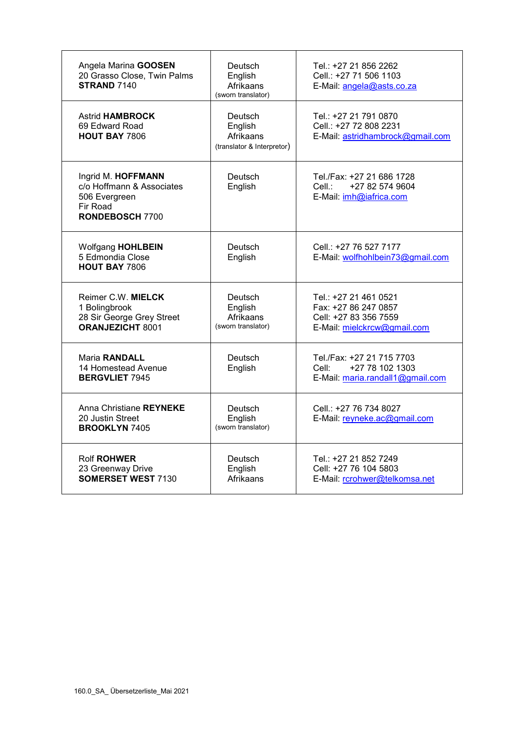| Angela Marina GOOSEN<br>20 Grasso Close, Twin Palms<br><b>STRAND 7140</b>                              | Deutsch<br>English<br>Afrikaans<br>(sworn translator)         | Tel.: +27 21 856 2262<br>Cell.: +27 71 506 1103<br>E-Mail: angela@asts.co.za                          |
|--------------------------------------------------------------------------------------------------------|---------------------------------------------------------------|-------------------------------------------------------------------------------------------------------|
| <b>Astrid HAMBROCK</b><br>69 Edward Road<br><b>HOUT BAY 7806</b>                                       | Deutsch<br>English<br>Afrikaans<br>(translator & Interpretor) | Tel.: +27 21 791 0870<br>Cell.: +27 72 808 2231<br>E-Mail: astridhambrock@gmail.com                   |
| Ingrid M. HOFFMANN<br>c/o Hoffmann & Associates<br>506 Evergreen<br>Fir Road<br><b>RONDEBOSCH 7700</b> | Deutsch<br>English                                            | Tel./Fax: +27 21 686 1728<br>+27 82 574 9604<br>E-Mail: imh@iafrica.com                               |
| <b>Wolfgang HOHLBEIN</b><br>5 Edmondia Close<br><b>HOUT BAY 7806</b>                                   | Deutsch<br>English                                            | Cell.: +27 76 527 7177<br>E-Mail: wolfhohlbein73@gmail.com                                            |
| Reimer C.W. MIELCK<br>1 Bolingbrook<br>28 Sir George Grey Street<br><b>ORANJEZICHT 8001</b>            | Deutsch<br>English<br>Afrikaans<br>(sworn translator)         | Tel.: +27 21 461 0521<br>Fax: +27 86 247 0857<br>Cell: +27 83 356 7559<br>E-Mail: mielckrcw@gmail.com |
| <b>Maria RANDALL</b><br>14 Homestead Avenue<br><b>BERGVLIET 7945</b>                                   | Deutsch<br>English                                            | Tel./Fax: +27 21 715 7703<br>+27 78 102 1303<br>Cell:<br>E-Mail: maria.randall1@gmail.com             |
| Anna Christiane REYNEKE<br>20 Justin Street<br><b>BROOKLYN 7405</b>                                    | Deutsch<br>English<br>(sworn translator)                      | Cell.: +27 76 734 8027<br>E-Mail: reyneke.ac@gmail.com                                                |
| <b>Rolf ROHWER</b><br>23 Greenway Drive<br><b>SOMERSET WEST 7130</b>                                   | Deutsch<br>English<br>Afrikaans                               | Tel.: +27 21 852 7249<br>Cell: +27 76 104 5803<br>E-Mail: rcrohwer@telkomsa.net                       |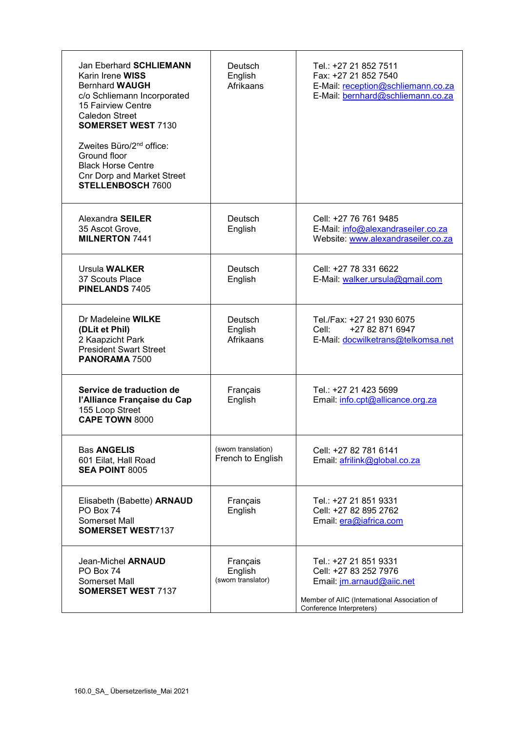| Jan Eberhard SCHLIEMANN<br>Karin Irene WISS<br><b>Bernhard WAUGH</b><br>c/o Schliemann Incorporated<br>15 Fairview Centre<br>Caledon Street<br><b>SOMERSET WEST 7130</b><br>Zweites Büro/2 <sup>nd</sup> office:<br>Ground floor<br><b>Black Horse Centre</b><br><b>Cnr Dorp and Market Street</b><br><b>STELLENBOSCH 7600</b> | Deutsch<br>English<br>Afrikaans           | Tel.: +27 21 852 7511<br>Fax: +27 21 852 7540<br>E-Mail: reception@schliemann.co.za<br>E-Mail: bernhard@schliemann.co.za                                |
|--------------------------------------------------------------------------------------------------------------------------------------------------------------------------------------------------------------------------------------------------------------------------------------------------------------------------------|-------------------------------------------|---------------------------------------------------------------------------------------------------------------------------------------------------------|
| Alexandra SEILER<br>35 Ascot Grove,<br><b>MILNERTON 7441</b>                                                                                                                                                                                                                                                                   | Deutsch<br>English                        | Cell: +27 76 761 9485<br>E-Mail: info@alexandraseiler.co.za<br>Website: www.alexandraseiler.co.za                                                       |
| Ursula WALKER<br>37 Scouts Place<br><b>PINELANDS 7405</b>                                                                                                                                                                                                                                                                      | Deutsch<br>English                        | Cell: +27 78 331 6622<br>E-Mail: walker.ursula@gmail.com                                                                                                |
| Dr Madeleine WILKE<br>(DLit et Phil)<br>2 Kaapzicht Park<br><b>President Swart Street</b><br>PANORAMA 7500                                                                                                                                                                                                                     | Deutsch<br>English<br>Afrikaans           | Tel./Fax: +27 21 930 6075<br>+27 82 871 6947<br>Cell:<br>E-Mail: docwilketrans@telkomsa.net                                                             |
| Service de traduction de<br>l'Alliance Française du Cap<br>155 Loop Street<br><b>CAPE TOWN 8000</b>                                                                                                                                                                                                                            | Français<br>English                       | Tel.: +27 21 423 5699<br>Email: info.cpt@allicance.org.za                                                                                               |
| <b>Bas ANGELIS</b><br>601 Eilat, Hall Road<br><b>SEA POINT 8005</b>                                                                                                                                                                                                                                                            | (sworn translation)<br>French to English  | Cell: +27 82 781 6141<br>Email: afrilink@global.co.za                                                                                                   |
| Elisabeth (Babette) <b>ARNAUD</b><br>PO Box 74<br>Somerset Mall<br><b>SOMERSET WEST7137</b>                                                                                                                                                                                                                                    | Français<br>English                       | Tel.: +27 21 851 9331<br>Cell: +27 82 895 2762<br>Email: era@iafrica.com                                                                                |
| Jean-Michel ARNAUD<br>PO Box 74<br>Somerset Mall<br><b>SOMERSET WEST 7137</b>                                                                                                                                                                                                                                                  | Français<br>English<br>(sworn translator) | Tel.: +27 21 851 9331<br>Cell: +27 83 252 7976<br>Email: jm.arnaud@aiic.net<br>Member of AIIC (International Association of<br>Conference Interpreters) |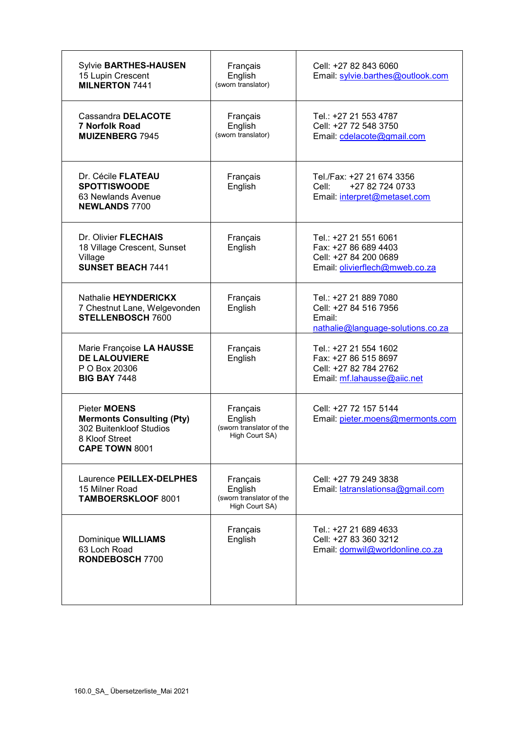| <b>Sylvie BARTHES-HAUSEN</b><br>15 Lupin Crescent<br><b>MILNERTON 7441</b>                                                    | Français<br>English<br>(sworn translator)                         | Cell: +27 82 843 6060<br>Email: sylvie.barthes@outlook.com                                               |
|-------------------------------------------------------------------------------------------------------------------------------|-------------------------------------------------------------------|----------------------------------------------------------------------------------------------------------|
| Cassandra DELACOTE<br><b>7 Norfolk Road</b><br><b>MUIZENBERG 7945</b>                                                         | Français<br>English<br>(sworn translator)                         | Tel.: +27 21 553 4787<br>Cell: +27 72 548 3750<br>Email: cdelacote@gmail.com                             |
| Dr. Cécile FLATEAU<br><b>SPOTTISWOODE</b><br>63 Newlands Avenue<br><b>NEWLANDS 7700</b>                                       | Français<br>English                                               | Tel./Fax: +27 21 674 3356<br>+27 82 724 0733<br>Cell:<br>Email: interpret@metaset.com                    |
| Dr. Olivier FLECHAIS<br>18 Village Crescent, Sunset<br>Village<br><b>SUNSET BEACH 7441</b>                                    | Français<br>English                                               | Tel.: +27 21 551 6061<br>Fax: +27 86 689 4403<br>Cell: +27 84 200 0689<br>Email: olivierflech@mweb.co.za |
| Nathalie HEYNDERICKX<br>7 Chestnut Lane, Welgevonden<br><b>STELLENBOSCH 7600</b>                                              | Français<br>English                                               | Tel.: +27 21 889 7080<br>Cell: +27 84 516 7956<br>Email:<br>nathalie@language-solutions.co.za            |
| Marie Françoise LA HAUSSE<br><b>DE LALOUVIERE</b><br>P O Box 20306<br><b>BIG BAY 7448</b>                                     | Français<br>English                                               | Tel.: +27 21 554 1602<br>Fax: +27 86 515 8697<br>Cell: +27 82 784 2762<br>Email: mf.lahausse@aiic.net    |
| Pieter <b>MOENS</b><br><b>Mermonts Consulting (Pty)</b><br>302 Buitenkloof Studios<br>8 Kloof Street<br><b>CAPE TOWN 8001</b> | Français<br>English<br>(sworn translator of the<br>High Court SA) | Cell: +27 72 157 5144<br>Email: pieter.moens@mermonts.com                                                |
| Laurence PEILLEX-DELPHES<br>15 Milner Road<br><b>TAMBOERSKLOOF 8001</b>                                                       | Français<br>English<br>(sworn translator of the<br>High Court SA) | Cell: +27 79 249 3838<br>Email: latranslationsa@gmail.com                                                |
| Dominique WILLIAMS<br>63 Loch Road<br>RONDEBOSCH 7700                                                                         | Français<br>English                                               | Tel.: +27 21 689 4633<br>Cell: +27 83 360 3212<br>Email: domwil@worldonline.co.za                        |